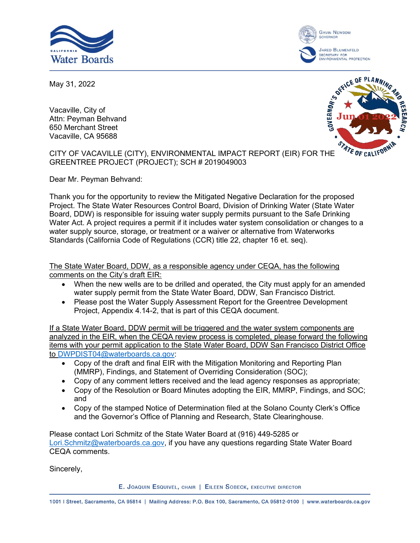



May 31, 2022

Vacaville, City of Attn: Peyman Behvand 650 Merchant Street Vacaville, CA 95688



CITY OF VACAVILLE (CITY), ENVIRONMENTAL IMPACT REPORT (EIR) FOR THE GREENTREE PROJECT (PROJECT); SCH # 2019049003

Dear Mr. Peyman Behvand:

Thank you for the opportunity to review the Mitigated Negative Declaration for the proposed Project. The State Water Resources Control Board, Division of Drinking Water (State Water Board, DDW) is responsible for issuing water supply permits pursuant to the Safe Drinking Water Act. A project requires a permit if it includes water system consolidation or changes to a water supply source, storage, or treatment or a waiver or alternative from Waterworks Standards (California Code of Regulations (CCR) title 22, chapter 16 et. seq).

The State Water Board, DDW, as a responsible agency under CEQA, has the following comments on the City's draft EIR:

- When the new wells are to be drilled and operated, the City must apply for an amended water supply permit from the State Water Board, DDW, San Francisco District.
- · Please post the Water Supply Assessment Report for the Greentree Development Project, Appendix 4.14-2, that is part of this CEQA document.

If a State Water Board, DDW permit will be triggered and the water system components are analyzed in the EIR, when the CEQA review process is completed, please forward the following items with your permit application to the State Water Board, DDW San Francisco District Office to [DWPDIST04@waterboards.ca.gov](mailto:DWPDIST04@waterboards.ca.gov):

- · Copy of the draft and final EIR with the Mitigation Monitoring and Reporting Plan (MMRP), Findings, and Statement of Overriding Consideration (SOC);
- · Copy of any comment letters received and the lead agency responses as appropriate;
- · Copy of the Resolution or Board Minutes adopting the EIR, MMRP, Findings, and SOC; and
- · Copy of the stamped Notice of Determination filed at the Solano County Clerk's Office and the Governor's Office of Planning and Research, State Clearinghouse.

Please contact Lori Schmitz of the State Water Board at (916) 449-5285 or [Lori.Schmitz@waterboards.ca.gov,](mailto:Lori.Schmitz@waterboards.ca.gov) if you have any questions regarding State Water Board CEQA comments.

Sincerely,

E. JOAQUIN ESQUIVEL, CHAIR | EILEEN SOBECK, EXECUTIVE DIRECTOR